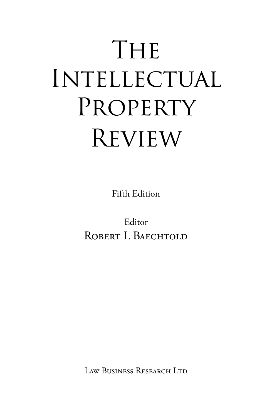# THE **INTELLECTUAL** PROPERTY **REVIEW**

Fifth Edition

Editor ROBERT L BAECHTOLD

Law Business Research Ltd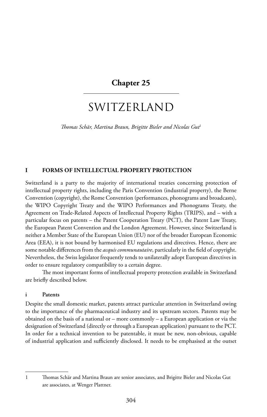### **Chapter 25**

## SWITZERLAND

*Thomas Schär, Martina Braun, Brigitte Bieler and Nicolas Gut*<sup>1</sup>

#### **I FORMS OF INTELLECTUAL PROPERTY PROTECTION**

Switzerland is a party to the majority of international treaties concerning protection of intellectual property rights, including the Paris Convention (industrial property), the Berne Convention (copyright), the Rome Convention (performances, phonograms and broadcasts), the WIPO Copyright Treaty and the WIPO Performances and Phonograms Treaty, the Agreement on Trade-Related Aspects of Intellectual Property Rights (TRIPS), and – with a particular focus on patents – the Patent Cooperation Treaty (PCT), the Patent Law Treaty, the European Patent Convention and the London Agreement. However, since Switzerland is neither a Member State of the European Union (EU) nor of the broader European Economic Area (EEA), it is not bound by harmonised EU regulations and directives. Hence, there are some notable differences from the *acquis communautaire*, particularly in the field of copyright. Nevertheless, the Swiss legislator frequently tends to unilaterally adopt European directives in order to ensure regulatory compatibility to a certain degree.

The most important forms of intellectual property protection available in Switzerland are briefly described below.

#### **i Patents**

Despite the small domestic market, patents attract particular attention in Switzerland owing to the importance of the pharmaceutical industry and its upstream sectors. Patents may be obtained on the basis of a national or – more commonly – a European application or via the designation of Switzerland (directly or through a European application) pursuant to the PCT. In order for a technical invention to be patentable, it must be new, non-obvious, capable of industrial application and sufficiently disclosed. It needs to be emphasised at the outset

<sup>1</sup> Thomas Schär and Martina Braun are senior associates, and Brigitte Bieler and Nicolas Gut are associates, at Wenger Plattner.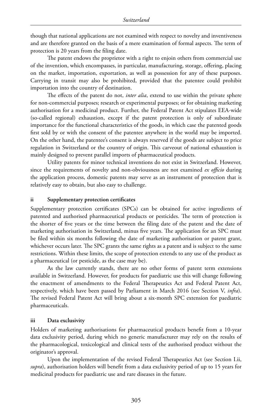though that national applications are not examined with respect to novelty and inventiveness and are therefore granted on the basis of a mere examination of formal aspects. The term of protection is 20 years from the filing date.

The patent endows the proprietor with a right to enjoin others from commercial use of the invention, which encompasses, in particular, manufacturing, storage, offering, placing on the market, importation, exportation, as well as possession for any of these purposes. Carrying in transit may also be prohibited, provided that the patentee could prohibit importation into the country of destination.

The effects of the patent do not, *inter alia*, extend to use within the private sphere for non-commercial purposes; research or experimental purposes; or for obtaining marketing authorisation for a medicinal product. Further, the Federal Patent Act stipulates EEA-wide (so-called regional) exhaustion, except if the patent protection is only of subordinate importance for the functional characteristics of the goods, in which case the patented goods first sold by or with the consent of the patentee anywhere in the world may be imported. On the other hand, the patentee's consent is always reserved if the goods are subject to price regulation in Switzerland or the country of origin. This carveout of national exhaustion is mainly designed to prevent parallel imports of pharmaceutical products.

Utility patents for minor technical inventions do not exist in Switzerland. However, since the requirements of novelty and non-obviousness are not examined *ex officio* during the application process, domestic patents may serve as an instrument of protection that is relatively easy to obtain, but also easy to challenge.

#### **ii Supplementary protection certificates**

Supplementary protection certificates (SPCs) can be obtained for active ingredients of patented and authorised pharmaceutical products or pesticides. The term of protection is the shorter of five years or the time between the filing date of the patent and the date of marketing authorisation in Switzerland, minus five years. The application for an SPC must be filed within six months following the date of marketing authorisation or patent grant, whichever occurs later. The SPC grants the same rights as a patent and is subject to the same restrictions. Within these limits, the scope of protection extends to any use of the product as a pharmaceutical (or pesticide, as the case may be).

As the law currently stands, there are no other forms of patent term extensions available in Switzerland. However, for products for paediatric use this will change following the enactment of amendments to the Federal Therapeutics Act and Federal Patent Act, respectively, which have been passed by Parliament in March 2016 (see Section V, *infra*). The revised Federal Patent Act will bring about a six-month SPC extension for paediatric pharmaceuticals.

#### **iii Data exclusivity**

Holders of marketing authorisations for pharmaceutical products benefit from a 10-year data exclusivity period, during which no generic manufacturer may rely on the results of the pharmacological, toxicological and clinical tests of the authorised product without the originator's approval.

Upon the implementation of the revised Federal Therapeutics Act (see Section I.ii, *supra*), authorisation holders will benefit from a data exclusivity period of up to 15 years for medicinal products for paediatric use and rare diseases in the future.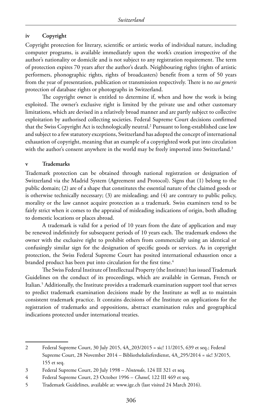#### **iv Copyright**

Copyright protection for literary, scientific or artistic works of individual nature, including computer programs, is available immediately upon the work's creation irrespective of the author's nationality or domicile and is not subject to any registration requirement. The term of protection expires 70 years after the author's death. Neighbouring rights (rights of artistic performers, phonographic rights, rights of broadcasters) benefit from a term of 50 years from the year of presentation, publication or transmission respectively. There is no *sui generis*  protection of database rights or photographs in Switzerland.

The copyright owner is entitled to determine if, when and how the work is being exploited. The owner's exclusive right is limited by the private use and other customary limitations, which are devised in a relatively broad manner and are partly subject to collective exploitation by authorised collecting societies. Federal Supreme Court decisions confirmed that the Swiss Copyright Act is technologically neutral.2 Pursuant to long-established case law and subject to a few statutory exceptions, Switzerland has adopted the concept of international exhaustion of copyright, meaning that an example of a copyrighted work put into circulation with the author's consent anywhere in the world may be freely imported into Switzerland.<sup>3</sup>

#### **v Trademarks**

Trademark protection can be obtained through national registration or designation of Switzerland via the Madrid System (Agreement and Protocol). Signs that (1) belong to the public domain; (2) are of a shape that constitutes the essential nature of the claimed goods or is otherwise technically necessary; (3) are misleading; and (4) are contrary to public policy, morality or the law cannot acquire protection as a trademark. Swiss examiners tend to be fairly strict when it comes to the appraisal of misleading indications of origin, both alluding to domestic locations or places abroad.

A trademark is valid for a period of 10 years from the date of application and may be renewed indefinitely for subsequent periods of 10 years each. The trademark endows the owner with the exclusive right to prohibit others from commercially using an identical or confusingly similar sign for the designation of specific goods or services. As in copyright protection, the Swiss Federal Supreme Court has posited international exhaustion once a branded product has been put into circulation for the first time.<sup>4</sup>

The Swiss Federal Institute of Intellectual Property (the Institute) has issued Trademark Guidelines on the conduct of its proceedings, which are available in German, French or Italian.5 Additionally, the Institute provides a trademark examination support tool that serves to predict trademark examination decisions made by the Institute as well as to maintain consistent trademark practice. It contains decisions of the Institute on applications for the registration of trademarks and oppositions, abstract examination rules and geographical indications protected under international treaties.

<sup>2</sup> Federal Supreme Court, 30 July 2015, 4A\_203/2015 = sic! 11/2015, 639 et seq.; Federal Supreme Court, 28 November 2014 – Bibliothekslieferdienst, 4A\_295/2014 = sic! 3/2015, 155 et seq.

<sup>3</sup> Federal Supreme Court, 20 July 1998 – *Nintendo*, 124 III 321 et seq.

<sup>4</sup> Federal Supreme Court, 23 October 1996 – *Chanel*, 122 III 469 et seq.

<sup>5</sup> Trademark Guidelines, available at: www.ige.ch (last visited 24 March 2016).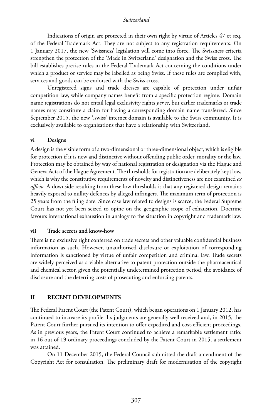Indications of origin are protected in their own right by virtue of Articles 47 et seq. of the Federal Trademark Act. They are not subject to any registration requirements. On 1 January 2017, the new 'Swissness' legislation will come into force. The Swissness criteria strengthen the protection of the 'Made in Switzerland' designation and the Swiss cross. The bill establishes precise rules in the Federal Trademark Act concerning the conditions under which a product or service may be labelled as being Swiss. If these rules are complied with, services and goods can be endorsed with the Swiss cross.

Unregistered signs and trade dresses are capable of protection under unfair competition law, while company names benefit from a specific protection regime. Domain name registrations do not entail legal exclusivity rights *per se*, but earlier trademarks or trade names may constitute a claim for having a corresponding domain name transferred. Since September 2015, the new '.swiss' internet domain is available to the Swiss community. It is exclusively available to organisations that have a relationship with Switzerland.

#### **vi Designs**

A design is the visible form of a two-dimensional or three-dimensional object, which is eligible for protection if it is new and distinctive without offending public order, morality or the law. Protection may be obtained by way of national registration or designation via the Hague and Geneva Acts of the Hague Agreement. The thresholds for registration are deliberately kept low, which is why the constitutive requirements of novelty and distinctiveness are not examined *ex officio*. A downside resulting from these low thresholds is that any registered design remains heavily exposed to nullity defences by alleged infringers. The maximum term of protection is 25 years from the filing date. Since case law related to designs is scarce, the Federal Supreme Court has not yet been seized to opine on the geographic scope of exhaustion. Doctrine favours international exhaustion in analogy to the situation in copyright and trademark law.

#### **vii Trade secrets and know-how**

There is no exclusive right conferred on trade secrets and other valuable confidential business information as such. However, unauthorised disclosure or exploitation of corresponding information is sanctioned by virtue of unfair competition and criminal law. Trade secrets are widely perceived as a viable alternative to patent protection outside the pharmaceutical and chemical sector, given the potentially undetermined protection period, the avoidance of disclosure and the deterring costs of prosecuting and enforcing patents.

#### **II RECENT DEVELOPMENTS**

The Federal Patent Court (the Patent Court), which began operations on 1 January 2012, has continued to increase its profile. Its judgments are generally well received and, in 2015, the Patent Court further pursued its intention to offer expedited and cost-efficient proceedings. As in previous years, the Patent Court continued to achieve a remarkable settlement ratio: in 16 out of 19 ordinary proceedings concluded by the Patent Court in 2015, a settlement was attained.

On 11 December 2015, the Federal Council submitted the draft amendment of the Copyright Act for consultation. The preliminary draft for modernisation of the copyright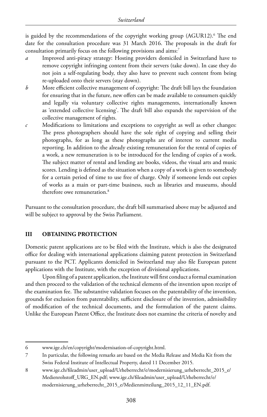is guided by the recommendations of the copyright working group (AGUR12).6 The end date for the consultation procedure was 31 March 2016. The proposals in the draft for consultation primarily focus on the following provisions and aims:7

- *a* Improved anti-piracy strategy: Hosting providers domiciled in Switzerland have to remove copyright infringing content from their servers (take down). In case they do not join a self-regulating body, they also have to prevent such content from being re-uploaded onto their servers (stay down).
- *b* More efficient collective management of copyright: The draft bill lays the foundation for ensuring that in the future, new offers can be made available to consumers quickly and legally via voluntary collective rights managements, internationally known as 'extended collective licensing'. The draft bill also expands the supervision of the collective management of rights.
- *c* Modifications to limitations and exceptions to copyright as well as other changes: The press photographers should have the sole right of copying and selling their photographs, for as long as these photographs are of interest to current media reporting. In addition to the already existing remuneration for the rental of copies of a work, a new remuneration is to be introduced for the lending of copies of a work. The subject matter of rental and lending are books, videos, the visual arts and music scores. Lending is defined as the situation when a copy of a work is given to somebody for a certain period of time to use free of charge. Only if someone lends out copies of works as a main or part-time business, such as libraries and museums, should therefore owe remuneration.<sup>8</sup>

Pursuant to the consultation procedure, the draft bill summarised above may be adjusted and will be subject to approval by the Swiss Parliament.

#### **III OBTAINING PROTECTION**

Domestic patent applications are to be filed with the Institute, which is also the designated office for dealing with international applications claiming patent protection in Switzerland pursuant to the PCT. Applicants domiciled in Switzerland may also file European patent applications with the Institute, with the exception of divisional applications.

Upon filing of a patent application, the Institute will first conduct a formal examination and then proceed to the validation of the technical elements of the invention upon receipt of the examination fee. The substantive validation focuses on the patentability of the invention, grounds for exclusion from patentability, sufficient disclosure of the invention, admissibility of modification of the technical documents, and the formulation of the patent claims. Unlike the European Patent Office, the Institute does not examine the criteria of novelty and

<sup>6</sup> www.ige.ch/en/copyright/modernisation-of-copyright.html.

<sup>7</sup> In particular, the following remarks are based on the Media Release and Media Kit from the Swiss Federal Institute of Intellectual Property, dated 11 December 2015.

<sup>8</sup> www.ige.ch/fileadmin/user\_upload/Urheberrecht/e/modernisierung\_urheberrecht\_2015\_e/ Medienrohstoff\_URG\_EN.pdf; www.ige.ch/fileadmin/user\_upload/Urheberrecht/e/ modernisierung\_urheberrecht\_2015\_e/Medienmitteilung\_2015\_12\_11\_EN.pdf.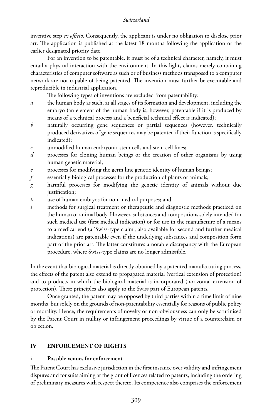inventive step *ex officio*. Consequently, the applicant is under no obligation to disclose prior art. The application is published at the latest 18 months following the application or the earlier designated priority date.

For an invention to be patentable, it must be of a technical character, namely, it must entail a physical interaction with the environment. In this light, claims merely containing characteristics of computer software as such or of business methods transposed to a computer network are not capable of being patented. The invention must further be executable and reproducible in industrial application.

The following types of inventions are excluded from patentability:

- *a* the human body as such, at all stages of its formation and development, including the embryo (an element of the human body is, however, patentable if it is produced by means of a technical process and a beneficial technical effect is indicated);
- *b* naturally occurring gene sequences or partial sequences (however, technically produced derivatives of gene sequences may be patented if their function is specifically indicated);
- *c* unmodified human embryonic stem cells and stem cell lines;
- *d* processes for cloning human beings or the creation of other organisms by using human genetic material;
- *e* processes for modifying the germ line genetic identity of human beings;
- *f* essentially biological processes for the production of plants or animals;
- *g* harmful processes for modifying the genetic identity of animals without due justification;
- *h* use of human embryos for non-medical purposes; and
- *i* methods for surgical treatment or therapeutic and diagnostic methods practiced on the human or animal body. However, substances and compositions solely intended for such medical use (first medical indication) or for use in the manufacture of a means to a medical end (a 'Swiss-type claim', also available for second and further medical indications) are patentable even if the underlying substances and composition form part of the prior art. The latter constitutes a notable discrepancy with the European procedure, where Swiss-type claims are no longer admissible.

In the event that biological material is directly obtained by a patented manufacturing process, the effects of the patent also extend to propagated material (vertical extension of protection) and to products in which the biological material is incorporated (horizontal extension of protection). These principles also apply to the Swiss part of European patents.

Once granted, the patent may be opposed by third parties within a time limit of nine months, but solely on the grounds of non-patentability essentially for reasons of public policy or morality. Hence, the requirements of novelty or non-obviousness can only be scrutinised by the Patent Court in nullity or infringement proceedings by virtue of a counterclaim or objection.

#### **IV ENFORCEMENT OF RIGHTS**

#### **i Possible venues for enforcement**

The Patent Court has exclusive jurisdiction in the first instance over validity and infringement disputes and for suits aiming at the grant of licences related to patents, including the ordering of preliminary measures with respect thereto. Its competence also comprises the enforcement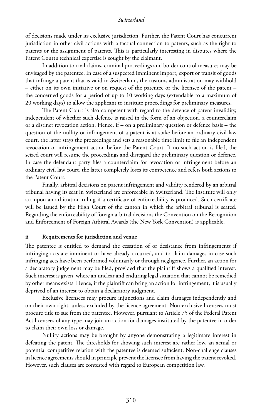of decisions made under its exclusive jurisdiction. Further, the Patent Court has concurrent jurisdiction in other civil actions with a factual connection to patents, such as the right to patents or the assignment of patents. This is particularly interesting in disputes where the Patent Court's technical expertise is sought by the claimant.

In addition to civil claims, criminal proceedings and border control measures may be envisaged by the patentee. In case of a suspected imminent import, export or transit of goods that infringe a patent that is valid in Switzerland, the customs administration may withhold – either on its own initiative or on request of the patentee or the licensee of the patent – the concerned goods for a period of up to 10 working days (extendable to a maximum of 20 working days) to allow the applicant to institute proceedings for preliminary measures.

The Patent Court is also competent with regard to the defence of patent invalidity, independent of whether such defence is raised in the form of an objection, a counterclaim or a distinct revocation action. Hence, if – on a preliminary question or defence basis – the question of the nullity or infringement of a patent is at stake before an ordinary civil law court, the latter stays the proceedings and sets a reasonable time limit to file an independent revocation or infringement action before the Patent Court. If no such action is filed, the seized court will resume the proceedings and disregard the preliminary question or defence. In case the defendant party files a counterclaim for revocation or infringement before an ordinary civil law court, the latter completely loses its competence and refers both actions to the Patent Court.

Finally, arbitral decisions on patent infringement and validity rendered by an arbitral tribunal having its seat in Switzerland are enforceable in Switzerland. The Institute will only act upon an arbitration ruling if a certificate of enforceability is produced. Such certificate will be issued by the High Court of the canton in which the arbitral tribunal is seated. Regarding the enforceability of foreign arbitral decisions the Convention on the Recognition and Enforcement of Foreign Arbitral Awards (the New York Convention) is applicable.

#### **ii Requirements for jurisdiction and venue**

The patentee is entitled to demand the cessation of or desistance from infringements if infringing acts are imminent or have already occurred, and to claim damages in case such infringing acts have been performed voluntarily or through negligence. Further, an action for a declaratory judgement may be filed, provided that the plaintiff shows a qualified interest. Such interest is given, where an unclear and enduring legal situation that cannot be remedied by other means exists. Hence, if the plaintiff can bring an action for infringement, it is usually deprived of an interest to obtain a declaratory judgment.

Exclusive licensees may procure injunctions and claim damages independently and on their own right, unless excluded by the licence agreement. Non-exclusive licensees must procure title to sue from the patentee. However, pursuant to Article 75 of the Federal Patent Act licensees of any type may join an action for damages instituted by the patentee in order to claim their own loss or damage.

Nullity actions may be brought by anyone demonstrating a legitimate interest in defeating the patent. The thresholds for showing such interest are rather low, an actual or potential competitive relation with the patentee is deemed sufficient. Non-challenge clauses in licence agreements should in principle prevent the licensee from having the patent revoked. However, such clauses are contested with regard to European competition law.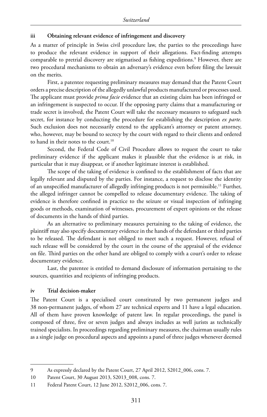#### **iii Obtaining relevant evidence of infringement and discovery**

As a matter of principle in Swiss civil procedure law, the parties to the proceedings have to produce the relevant evidence in support of their allegations. Fact-finding attempts comparable to pretrial discovery are stigmatised as fishing expeditions.9 However, there are two procedural mechanisms to obtain an adversary's evidence even before filing the lawsuit on the merits.

First, a patentee requesting preliminary measures may demand that the Patent Court orders a precise description of the allegedly unlawful products manufactured or processes used. The applicant must provide *prima facie* evidence that an existing claim has been infringed or an infringement is suspected to occur. If the opposing party claims that a manufacturing or trade secret is involved, the Patent Court will take the necessary measures to safeguard such secret, for instance by conducting the procedure for establishing the description *ex parte*. Such exclusion does not necessarily extend to the applicant's attorney or patent attorney, who, however, may be bound to secrecy by the court with regard to their clients and ordered to hand in their notes to the court.<sup>10</sup>

Second, the Federal Code of Civil Procedure allows to request the court to take preliminary evidence if the applicant makes it plausible that the evidence is at risk, in particular that it may disappear, or if another legitimate interest is established.

The scope of the taking of evidence is confined to the establishment of facts that are legally relevant and disputed by the parties. For instance, a request to disclose the identity of an unspecified manufacturer of allegedly infringing products is not permissible.<sup>11</sup> Further, the alleged infringer cannot be compelled to release documentary evidence. The taking of evidence is therefore confined in practice to the seizure or visual inspection of infringing goods or methods, examination of witnesses, procurement of expert opinions or the release of documents in the hands of third parties.

As an alternative to preliminary measures pertaining to the taking of evidence, the plaintiff may also specify documentary evidence in the hands of the defendant or third parties to be released. The defendant is not obliged to meet such a request. However, refusal of such release will be considered by the court in the course of the appraisal of the evidence on file. Third parties on the other hand are obliged to comply with a court's order to release documentary evidence.

Last, the patentee is entitled to demand disclosure of information pertaining to the sources, quantities and recipients of infringing products.

#### **iv Trial decision-maker**

The Patent Court is a specialised court constituted by two permanent judges and 38 non-permanent judges, of whom 27 are technical experts and 11 have a legal education. All of them have proven knowledge of patent law. In regular proceedings, the panel is composed of three, five or seven judges and always includes as well jurists as technically trained specialists. In proceedings regarding preliminary measures, the chairman usually rules as a single judge on procedural aspects and appoints a panel of three judges whenever deemed

<sup>9</sup> As expressly declared by the Patent Court, 27 April 2012, S2012\_006, cons. 7.

<sup>10</sup> Patent Court, 30 August 2013, S2013\_008, cons. 7.

<sup>11</sup> Federal Patent Court, 12 June 2012, S2012\_006, cons. 7.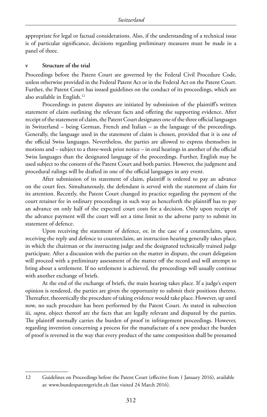appropriate for legal or factual considerations. Also, if the understanding of a technical issue is of particular significance, decisions regarding preliminary measures must be made in a panel of three.

#### **v Structure of the trial**

Proceedings before the Patent Court are governed by the Federal Civil Procedure Code, unless otherwise provided in the Federal Patent Act or in the Federal Act on the Patent Court. Further, the Patent Court has issued guidelines on the conduct of its proceedings, which are also available in English.<sup>12</sup>

Proceedings in patent disputes are initiated by submission of the plaintiff's written statement of claim outlining the relevant facts and offering the supporting evidence. After receipt of the statement of claim, the Patent Court designates one of the three official languages in Switzerland – being German, French and Italian – as the language of the proceedings. Generally, the language used in the statement of claim is chosen, provided that it is one of the official Swiss languages. Nevertheless, the parties are allowed to express themselves in motions and – subject to a three-week prior notice – in oral hearings in another of the official Swiss languages than the designated language of the proceedings. Further, English may be used subject to the consent of the Patent Court and both parties. However, the judgment and procedural rulings will be drafted in one of the official languages in any event.

After submission of its statement of claim, plaintiff is ordered to pay an advance on the court fees. Simultaneously, the defendant is served with the statement of claim for its attention. Recently, the Patent Court changed its practice regarding the payment of the court retainer fee in ordinary proceedings in such way as henceforth the plaintiff has to pay an advance on only half of the expected court costs for a decision. Only upon receipt of the advance payment will the court will set a time limit to the adverse party to submit its statement of defence.

Upon receiving the statement of defence, or, in the case of a counterclaim, upon receiving the reply and defence to counterclaim, an instruction hearing generally takes place, in which the chairman or the instructing judge and the designated technically trained judge participate. After a discussion with the parties on the matter in dispute, the court delegation will proceed with a preliminary assessment of the matter off the record and will attempt to bring about a settlement. If no settlement is achieved, the proceedings will usually continue with another exchange of briefs.

At the end of the exchange of briefs, the main hearing takes place. If a judge's expert opinion is rendered, the parties are given the opportunity to submit their positions thereto. Thereafter, theoretically the procedure of taking evidence would take place. However, up until now, no such procedure has been performed by the Patent Court. As stated in subsection iii, *supra*, object thereof are the facts that are legally relevant and disputed by the parties. The plaintiff normally carries the burden of proof in infringement proceedings. However, regarding invention concerning a process for the manufacture of a new product the burden of proof is reversed in the way that every product of the same composition shall be presumed

<sup>12</sup> Guidelines on Proceedings before the Patent Court (effective from 1 January 2016), available at: www.bundespatentgericht.ch (last visited 24 March 2016).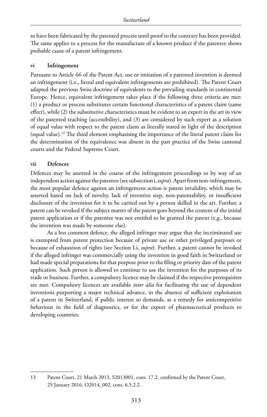to have been fabricated by the patented process until proof to the contrary has been provided. The same applies to a process for the manufacture of a known product if the patentee shows probable cause of a patent infringement.

#### **vi Infringement**

Pursuant to Article 66 of the Patent Act, use or imitation of a patented invention is deemed an infringement (i.e., literal and equivalent infringements are prohibited). The Patent Court adapted the previous Swiss doctrine of equivalents to the prevailing standards in continental Europe. Hence, equivalent infringement takes place if the following three criteria are met: (1) a product or process substitutes certain functional characteristics of a patent claim (same effect), while (2) the substitutive characteristics must be evident to an expert in the art in view of the patented teaching (accessibility), and (3) are considered by such expert as a solution of equal value with respect to the patent claim as literally stated in light of the description (equal value).13 The third element emphasising the importance of the literal patent claim for the determination of the equivalence was absent in the past practice of the Swiss cantonal courts and the Federal Supreme Court.

#### **vii Defences**

Defences may be asserted in the course of the infringement proceedings or by way of an independent action against the patentee (see subsection i, *supra*). Apart from non-infringement, the most popular defence against an infringement action is patent invalidity, which may be asserted based on lack of novelty, lack of inventive step, non-patentability, or insufficient disclosure of the invention for it to be carried out by a person skilled in the art. Further, a patent can be revoked if the subject matter of the patent goes beyond the content of the initial patent application or if the patentee was not entitled to be granted the patent (e.g., because the invention was made by someone else).

As a less common defence, the alleged infringer may argue that the incriminated use is exempted from patent protection because of private use or other privileged purposes or because of exhaustion of rights (see Section I.i, *supra*). Further, a patent cannot be invoked if the alleged infringer was commercially using the invention in good faith in Switzerland or had made special preparations for that purpose prior to the filing or priority date of the patent application. Such person is allowed to continue to use the invention for the purposes of its trade or business. Further, a compulsory licence may be claimed if the respective prerequisites are met. Compulsory licences are available *inter alia* for facilitating the use of dependent inventions purporting a major technical advance, in the absence of sufficient exploitation of a patent in Switzerland, if public interest so demands, as a remedy for anticompetitive behaviour in the field of diagnostics, or for the export of pharmaceutical products to developing countries.

<sup>13</sup> Patent Court, 21 March 2013, S2013001, cons. 17.2, confirmed by the Patent Court, 25 January 2016, O2014\_002, cons. 6.5.2.2.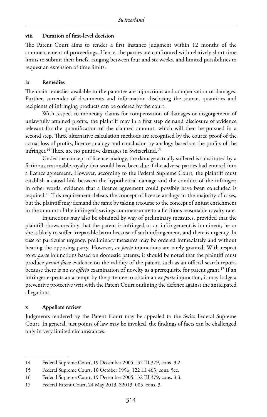#### **viii Duration of first-level decision**

The Patent Court aims to render a first instance judgment within 12 months of the commencement of proceedings. Hence, the parties are confronted with relatively short time limits to submit their briefs, ranging between four and six weeks, and limited possibilities to request an extension of time limits.

#### **ix Remedies**

The main remedies available to the patentee are injunctions and compensation of damages. Further, surrender of documents and information disclosing the source, quantities and recipients of infringing products can be ordered by the court.

With respect to monetary claims for compensation of damages or disgorgement of unlawfully attained profits, the plaintiff may in a first step demand disclosure of evidence relevant for the quantification of the claimed amount, which will then be pursued in a second step. Three alternative calculation methods are recognised by the courts: proof of the actual loss of profits, licence analogy and conclusion by analogy based on the profits of the infringer.<sup>14</sup> There are no punitive damages in Switzerland.<sup>15</sup>

Under the concept of licence analogy, the damage actually suffered is substituted by a fictitious reasonable royalty that would have been due if the adverse parties had entered into a licence agreement. However, according to the Federal Supreme Court, the plaintiff must establish a causal link between the hypothetical damage and the conduct of the infringer; in other words, evidence that a licence agreement could possibly have been concluded is required.16 This requirement defeats the concept of licence analogy in the majority of cases, but the plaintiff may demand the same by taking recourse to the concept of unjust enrichment in the amount of the infringer's savings commensurate to a fictitious reasonable royalty rate.

Injunctions may also be obtained by way of preliminary measures, provided that the plaintiff shows credibly that the patent is infringed or an infringement is imminent, he or she is likely to suffer irreparable harm because of such infringement, and there is urgency. In case of particular urgency, preliminary measures may be ordered immediately and without hearing the opposing party. However, *ex parte* injunctions are rarely granted. With respect to *ex parte* injunctions based on domestic patents, it should be noted that the plaintiff must produce *prima facie* evidence on the validity of the patent, such as an official search report, because there is no *ex officio* examination of novelty as a prerequisite for patent grant.17 If an infringer expects an attempt by the patentee to obtain an *ex parte* injunction, it may lodge a preventive protective writ with the Patent Court outlining the defence against the anticipated allegations.

#### **x Appellate review**

Judgments rendered by the Patent Court may be appealed to the Swiss Federal Supreme Court. In general, just points of law may be invoked, the findings of facts can be challenged only in very limited circumstances.

<sup>14</sup> Federal Supreme Court, 19 December 2005,132 III 379, cons. 3.2.

<sup>15</sup> Federal Supreme Court, 10 October 1996, 122 III 463, cons. 5cc.

<sup>16</sup> Federal Supreme Court, 19 December 2005,132 III 379, cons. 3.3.

<sup>17</sup> Federal Patent Court, 24 May 2013, S2013\_005, cons. 3.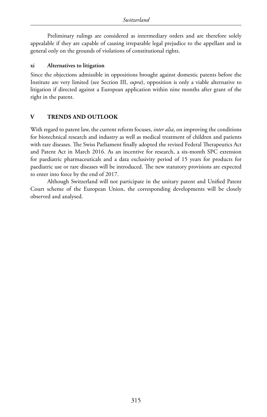Preliminary rulings are considered as intermediary orders and are therefore solely appealable if they are capable of causing irreparable legal prejudice to the appellant and in general only on the grounds of violations of constitutional rights.

#### **xi Alternatives to litigation**

Since the objections admissible in oppositions brought against domestic patents before the Institute are very limited (see Section III, *supra*), opposition is only a viable alternative to litigation if directed against a European application within nine months after grant of the right in the patent.

#### **V TRENDS AND OUTLOOK**

With regard to patent law, the current reform focuses, *inter alia*, on improving the conditions for biotechnical research and industry as well as medical treatment of children and patients with rare diseases. The Swiss Parliament finally adopted the revised Federal Therapeutics Act and Patent Act in March 2016. As an incentive for research, a six-month SPC extension for paediatric pharmaceuticals and a data exclusivity period of 15 years for products for paediatric use or rare diseases will be introduced. The new statutory provisions are expected to enter into force by the end of 2017.

Although Switzerland will not participate in the unitary patent and Unified Patent Court scheme of the European Union, the corresponding developments will be closely observed and analysed.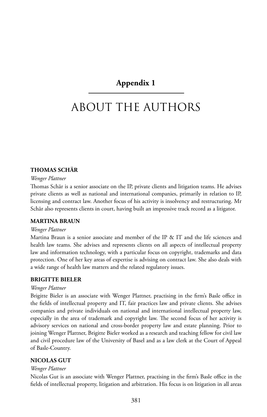## **Appendix 1**

# ABOUT THE AUTHORS

#### **THOMAS SCHÄR**

#### *Wenger Plattner*

Thomas Schär is a senior associate on the IP, private clients and litigation teams. He advises private clients as well as national and international companies, primarily in relation to IP, licensing and contract law. Another focus of his activity is insolvency and restructuring. Mr Schär also represents clients in court, having built an impressive track record as a litigator.

#### **MARTINA BRAUN**

#### *Wenger Plattner*

Martina Braun is a senior associate and member of the IP & IT and the life sciences and health law teams. She advises and represents clients on all aspects of intellectual property law and information technology, with a particular focus on copyright, trademarks and data protection. One of her key areas of expertise is advising on contract law. She also deals with a wide range of health law matters and the related regulatory issues.

#### **BRIGITTE BIELER**

#### *Wenger Plattner*

Brigitte Bieler is an associate with Wenger Plattner, practising in the firm's Basle office in the fields of intellectual property and IT, fair practices law and private clients. She advises companies and private individuals on national and international intellectual property law, especially in the area of trademark and copyright law. The second focus of her activity is advisory services on national and cross-border property law and estate planning. Prior to joining Wenger Plattner, Brigitte Bieler worked as a research and teaching fellow for civil law and civil procedure law of the University of Basel and as a law clerk at the Court of Appeal of Basle-Country.

#### **NICOLAS GUT**

#### *Wenger Plattner*

Nicolas Gut is an associate with Wenger Plattner, practising in the firm's Basle office in the fields of intellectual property, litigation and arbitration. His focus is on litigation in all areas